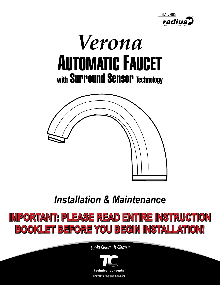





# *Installation & Maintenance*

# **IMPORTANT: PLEASE READ ENTIRE INSTRUCTION BOOKLET BEFORE YOU BEGIN INSTALLATION! BOOKLET BEFORE YOU BEGIN INSTALLATION!**

*LooksClea<sup>n</sup> -IsClean. ™*

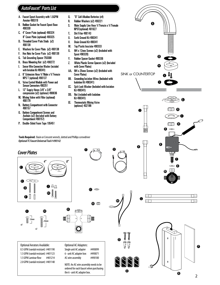## *AutoFaucet® Parts List*

- A. Faucet Spout Assembly with 1.5GPM Aerator 490319
- **B.** Rubber Gasket for Faucet Spout Base 490330
- C. 4" Cover Plate (optional) 490324 8" Cover Plate (optional) 490325
- D. Threaded Cover Plate Studs (x2) 490139
- E. Washers for Cover Plate (x2) 490138
- Hex Nuts for Cover Plate (x2) 490139 F.
- G. Tab Grounding Spacer 750368
- H. Brass Mounting Nut (x2) 490272
- **Sensor Wire Connection Washer (Included**  $\mathbf{I}$ with Isolation Kit 490341)
- J. 6" Extension Hose 1/2"Male x 1/2"Female NPS T (optional) 490137
- K. Valve Control Module with Power and Sensor Connectors 490251
- L 12" Supply Hoses 3/8" x 3/8" compression (x2) (optional) 490036
- M. Mixing Valve with Filter (optional)<br>490179
- **N. Battery Compartment with Connector** 490157
- **0.** Battery Compartment Screws and Anchors (x2) (Included with Battery Compartment 490157)
- P. Double-Sided Foam Tape 105451

Tools Required: Basin or Crescent wrench, slotted and Phillips screwdriver *Optional TC Faucet Universal Tool # 490142*







Optional Aerators Available: 0.5 GPM (vandal resistant) #401190 1.5 GPM (vandal resistant) #401123 1.5 GPM Laminar flow #401214 2.0 GPM (vandal resistant) #401148

#### Dirt Filter 490143 Earth Ground Kit 490341

NPST(optional) 401627

"D" Cell Alkaline Batteries (x4)

Rubber Washers (x2) 490221

Main Supply Line Hose 1/2"Female x 1/2"Female

Q.

 $\mathbf{R}$ 

S.

T.

U.

- V. Drain Ground Kit 490341
- W. Top Plastic Insulator 490333
- M4 x 12mm Screws (x2) (Included with X. **Spout 490320)**
- Rubber Spacer Gasket 490336 Y.
- White Plastic Screw Spacers (x2) (Included Z. with Cover Plates)
- AA. M4 x 25mm Screws (x2) (Included with **Cover Plates)**
- **BB.** Grounding Isolation Wires (Included with **Isolation Kit 490341)**
- $\alpha$ Split Lock Washer (Included with Isolation Kit 490341)
- DD. Nut (Included with Isolation Kit 490341)
- EE. **Thermostatic Mixing Valve** (optional) 402188



A



a G







 $\mathbf P$ 



 $\bf{0}$ 

BB

 $\bf{0}$ 



Optional AC Adapters: Single unit AC adapter #490099 6 - unit AC adapter box #490071 AC wire assembly #490100

NOTE: An AC wire assembly needs to be ordered for each faucet when purchasing the 6 - unit AC adapter box.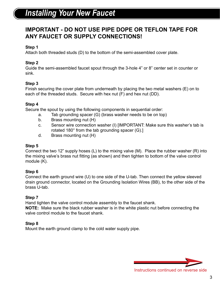## *Installing Your New Faucet*

## **IMPORTANT - DO NOT USE PIPE DOPE OR TEFLON TAPE FOR ANY FAUCET OR SUPPLY CONNECTIONS!**

## **Step 1**

Attach both threaded studs (D) to the bottom of the semi-assembled cover plate.

## **Step 2**

Guide the semi-assembled faucet spout through the 3-hole 4" or 8" center set in counter or sink.

### **Step 3**

Finish securing the cover plate from underneath by placing the two metal washers (E) on to each of the threaded studs. Secure with hex nut (F) and hex nut (DD).

### **Step 4**

Secure the spout by using the following components in sequential order:

- a. Tab grounding spacer (G) (brass washer needs to be on top)
- b. Brass mounting nut (H)
- c. Sensor wire connection washer (I) [IMPORTANT: Make sure this washer's tab is rotated 180° from the tab grounding spacer (G).]
- d. Brass mounting nut (H)

#### **Step 5**

Connect the two 12" supply hoses (L) to the mixing valve (M). Place the rubber washer (R) into the mixing valve's brass nut fitting (as shown) and then tighten to bottom of the valve control module (K).

### **Step 6**

Connect the earth ground wire (U) to one side of the U-tab. Then connect the yellow sleeved drain ground connector, located on the Grounding Isolation Wires (BB), to the other side of the brass U-tab.

### **Step 7**

Hand tighten the valve control module assembly to the faucet shank.

**NOTE:** Make sure the black rubber washer is in the white plastic nut before connecting the valve control module to the faucet shank.

### **Step 8**

Mount the earth ground clamp to the cold water supply pipe.

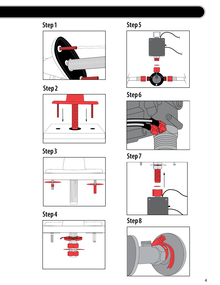## Step 1















Step 5



Step 6



Step 7



Step 8

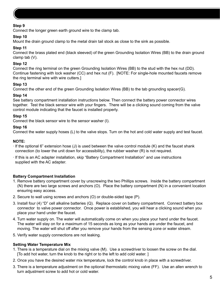#### **Step 9**

Connect the longer green earth ground wire to the clamp tab.

#### **Step 10**

Mount the drain ground clamp to the metal drain tail stock as close to the sink as possible.

#### **Step 11**

Connect the brass plated end (black sleeved) of the green Grounding Isolation Wires (BB) to the drain ground clamp tab (V).

#### **Step 12**

Connect the ring terminal on the green Grounding Isolation Wires (BB) to the stud with the hex nut (DD). Continue fastening with lock washer (CC) and hex nut (F). [NOTE: For single-hole mounted faucets remove the ring terminal wire with wire cutters.]

#### **Step 13**

Connect the other end of the green Grounding Isolation Wires (BB) to the tab grounding spacer(G).

#### **Step 14**

See battery compartment installation instructions below. Then connect the battery power connector wires together. Test the black sensor wire with your fingers. There will be a clicking sound coming from the valve control module indicating that the faucet is installed properly.

#### **Step 15**

Connect the black sensor wire to the sensor washer (I).

#### **Step 16**

Connect the water supply hoses (L) to the valve stops. Turn on the hot and cold water supply and test faucet.

#### **NOTE:**

- · If the optional 6" extension hose (J) is used between the valve control module (K) and the faucet shank connection (to lower the unit down for accessibility), the rubber washer (R) is not required.
- · If this is an AC adapter installation, skip "Battery Compartment Installation" and use instructions supplied with the AC adapter.

#### **Battery Compartment Installation**

- 1. Remove battery compartment cover by unscrewing the two Phillips screws. Inside the battery compartment (N) there are two large screws and anchors (O). Place the battery compartment (N) in a convenient location ensuring easy access.
- 2. Secure to wall using screws and anchors (O) or double-sided tape (P).
- 3. Install four (4) "D" cell alkaline batteries (Q). Replace cover on battery compartment. Connect battery box connector to valve power connector. Once power is established, you will hear a clicking sound when you place your hand under the faucet.
- 4. Turn water supply on. The water will automatically come on when you place your hand under the faucet. The water will stay on for a maximum of 15 seconds as long as your hands are under the faucet, and moving. The water will shut off after you remove your hands from the sensing zone or water stream.
- 5. Verify water supply connections are not leaking.

#### **Setting Water Temperature Mix**

- 1. There is a temperature dial on the mixing valve (M). Use a screwdriver to loosen the screw on the dial. [To add hot water, turn the knob to the right or to the left to add cold water. ]
- 2. Once you have the desired water mix temperature, lock the control knob in place with a screwdriver.
- 3. There is a temperature adjustment on the optional thermostatic mixing valve (FF). Use an allen wrench to turn adjustment screw to add hot or cold water.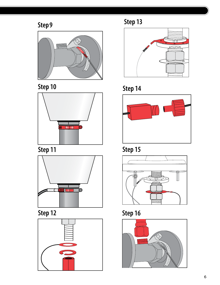## Step 9















Step 13







Step 15



Step 12 Step 16

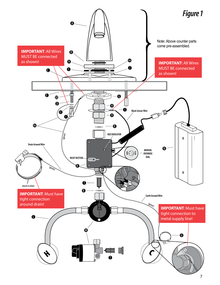

7